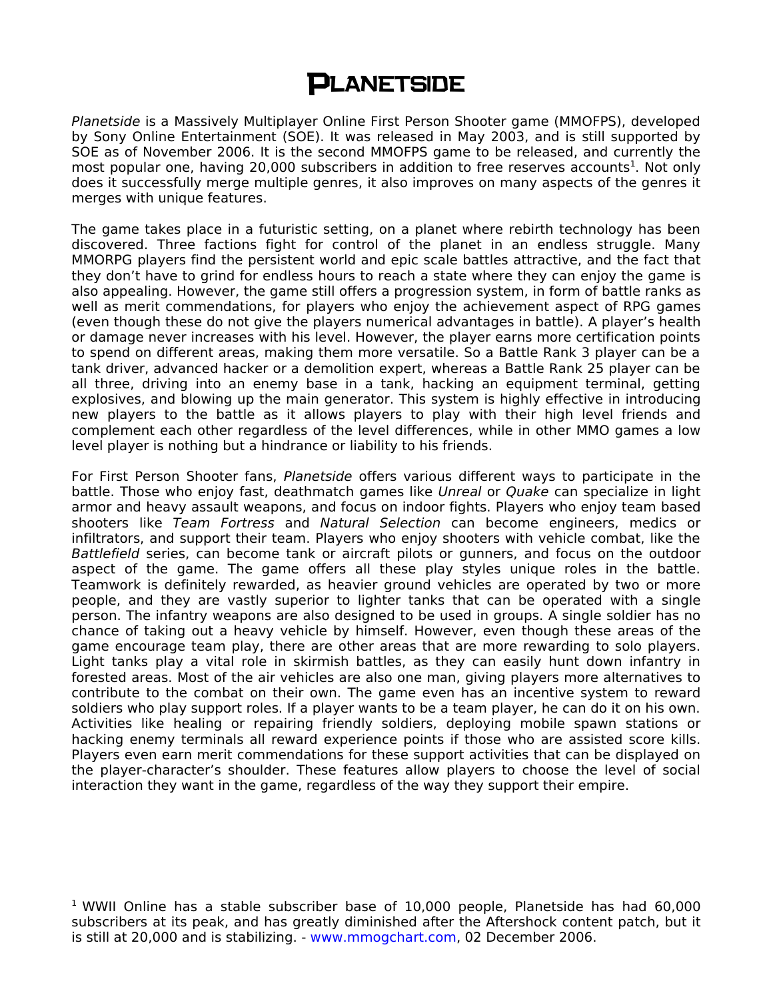## **PLANETSIDE**

Planetside is a Massively Multiplayer Online First Person Shooter game (MMOFPS), developed by Sony Online Entertainment (SOE). It was released in May 2003, and is still supported by SOE as of November 2006. It is the second MMOFPS game to be released, and currently the most popular one, having 20,000 subscribers in addition to free reserves accounts<sup>1</sup>. Not only does it successfully merge multiple genres, it also improves on many aspects of the genres it merges with unique features.

The game takes place in a futuristic setting, on a planet where rebirth technology has been discovered. Three factions fight for control of the planet in an endless struggle. Many MMORPG players find the persistent world and epic scale battles attractive, and the fact that they don't have to grind for endless hours to reach a state where they can enjoy the game is also appealing. However, the game still offers a progression system, in form of battle ranks as well as merit commendations, for players who enjoy the achievement aspect of RPG games (even though these do not give the players numerical advantages in battle). A player's health or damage never increases with his level. However, the player earns more certification points to spend on different areas, making them more versatile. So a Battle Rank 3 player can be a tank driver, advanced hacker or a demolition expert, whereas a Battle Rank 25 player can be all three, driving into an enemy base in a tank, hacking an equipment terminal, getting explosives, and blowing up the main generator. This system is highly effective in introducing new players to the battle as it allows players to play with their high level friends and complement each other regardless of the level differences, while in other MMO games a low level player is nothing but a hindrance or liability to his friends.

For First Person Shooter fans, Planetside offers various different ways to participate in the battle. Those who enjoy fast, deathmatch games like Unreal or Quake can specialize in light armor and heavy assault weapons, and focus on indoor fights. Players who enjoy team based shooters like Team Fortress and Natural Selection can become engineers, medics or infiltrators, and support their team. Players who enjoy shooters with vehicle combat, like the Battlefield series, can become tank or aircraft pilots or gunners, and focus on the outdoor aspect of the game. The game offers all these play styles unique roles in the battle. Teamwork is definitely rewarded, as heavier ground vehicles are operated by two or more people, and they are vastly superior to lighter tanks that can be operated with a single person. The infantry weapons are also designed to be used in groups. A single soldier has no chance of taking out a heavy vehicle by himself. However, even though these areas of the game encourage team play, there are other areas that are more rewarding to solo players. Light tanks play a vital role in skirmish battles, as they can easily hunt down infantry in forested areas. Most of the air vehicles are also one man, giving players more alternatives to contribute to the combat on their own. The game even has an incentive system to reward soldiers who play support roles. If a player wants to be a team player, he can do it on his own. Activities like healing or repairing friendly soldiers, deploying mobile spawn stations or hacking enemy terminals all reward experience points if those who are assisted score kills. Players even earn merit commendations for these support activities that can be displayed on the player-character's shoulder. These features allow players to choose the level of social interaction they want in the game, regardless of the way they support their empire.

<sup>1</sup> WWII Online has a stable subscriber base of  $10,000$  people, Planetside has had 60,000 subscribers at its peak, and has greatly diminished after the Aftershock content patch, but it is still at 20,000 and is stabilizing. - [www.mmogchart.com,](http://www.mmogchart.com/) 02 December 2006.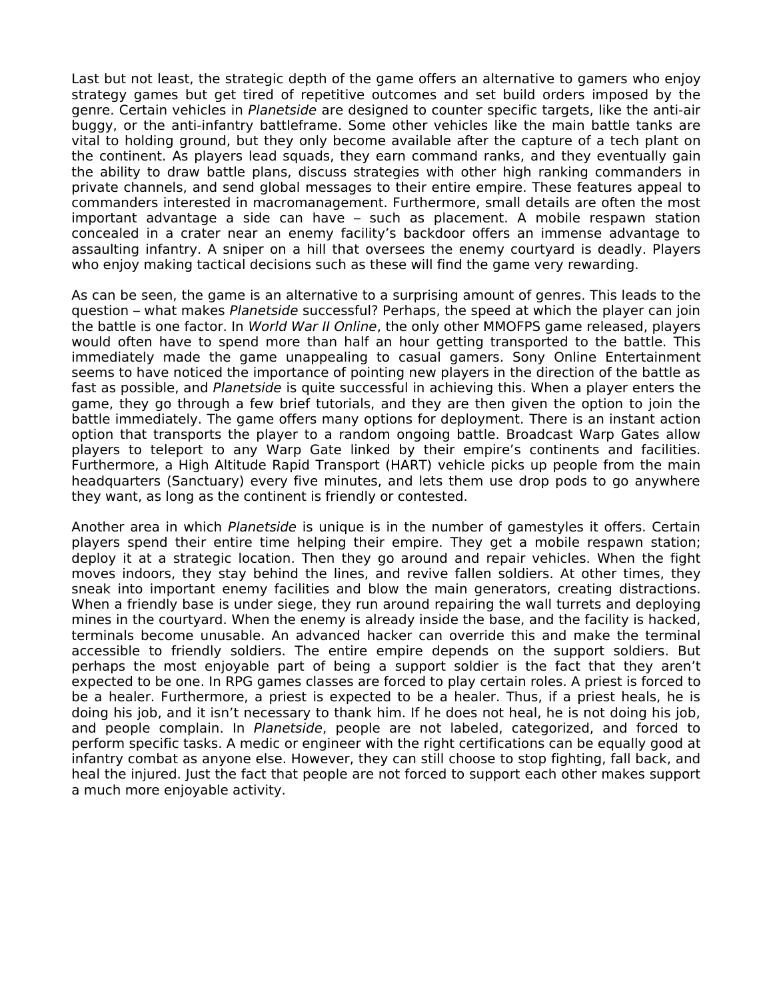Last but not least, the strategic depth of the game offers an alternative to gamers who enjoy strategy games but get tired of repetitive outcomes and set build orders imposed by the genre. Certain vehicles in Planetside are designed to counter specific targets, like the anti-air buggy, or the anti-infantry battleframe. Some other vehicles like the main battle tanks are vital to holding ground, but they only become available after the capture of a tech plant on the continent. As players lead squads, they earn command ranks, and they eventually gain the ability to draw battle plans, discuss strategies with other high ranking commanders in private channels, and send global messages to their entire empire. These features appeal to commanders interested in macromanagement. Furthermore, small details are often the most important advantage a side can have – such as placement. A mobile respawn station concealed in a crater near an enemy facility's backdoor offers an immense advantage to assaulting infantry. A sniper on a hill that oversees the enemy courtyard is deadly. Players who enjoy making tactical decisions such as these will find the game very rewarding.

As can be seen, the game is an alternative to a surprising amount of genres. This leads to the question – what makes Planetside successful? Perhaps, the speed at which the player can join the battle is one factor. In World War II Online, the only other MMOFPS game released, players would often have to spend more than half an hour getting transported to the battle. This immediately made the game unappealing to casual gamers. Sony Online Entertainment seems to have noticed the importance of pointing new players in the direction of the battle as fast as possible, and Planetside is quite successful in achieving this. When a player enters the game, they go through a few brief tutorials, and they are then given the option to join the battle immediately. The game offers many options for deployment. There is an instant action option that transports the player to a random ongoing battle. Broadcast Warp Gates allow players to teleport to any Warp Gate linked by their empire's continents and facilities. Furthermore, a High Altitude Rapid Transport (HART) vehicle picks up people from the main headquarters (Sanctuary) every five minutes, and lets them use drop pods to go anywhere they want, as long as the continent is friendly or contested.

Another area in which Planetside is unique is in the number of gamestyles it offers. Certain players spend their entire time helping their empire. They get a mobile respawn station; deploy it at a strategic location. Then they go around and repair vehicles. When the fight moves indoors, they stay behind the lines, and revive fallen soldiers. At other times, they sneak into important enemy facilities and blow the main generators, creating distractions. When a friendly base is under siege, they run around repairing the wall turrets and deploying mines in the courtyard. When the enemy is already inside the base, and the facility is hacked, terminals become unusable. An advanced hacker can override this and make the terminal accessible to friendly soldiers. The entire empire depends on the support soldiers. But perhaps the most enjoyable part of being a support soldier is the fact that they aren't expected to be one. In RPG games classes are forced to play certain roles. A priest is forced to be a healer. Furthermore, a priest is expected to be a healer. Thus, if a priest heals, he is doing his job, and it isn't necessary to thank him. If he does not heal, he is not doing his job, and people complain. In Planetside, people are not labeled, categorized, and forced to perform specific tasks. A medic or engineer with the right certifications can be equally good at infantry combat as anyone else. However, they can still choose to stop fighting, fall back, and heal the injured. Just the fact that people are not forced to support each other makes support a much more enjoyable activity.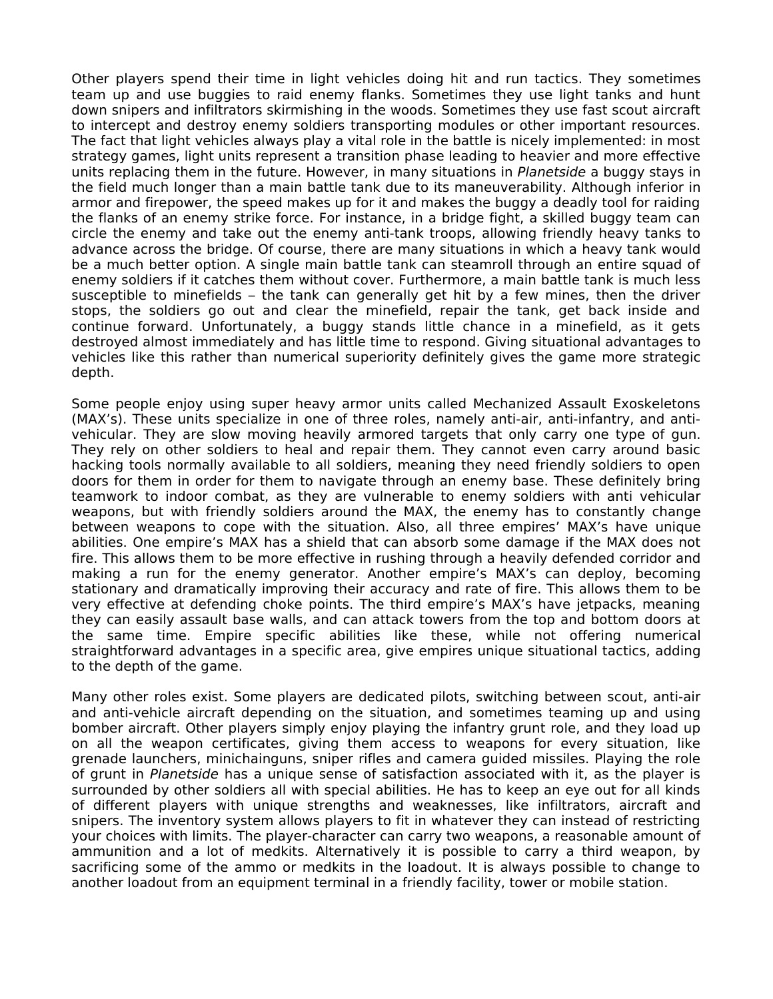Other players spend their time in light vehicles doing hit and run tactics. They sometimes team up and use buggies to raid enemy flanks. Sometimes they use light tanks and hunt down snipers and infiltrators skirmishing in the woods. Sometimes they use fast scout aircraft to intercept and destroy enemy soldiers transporting modules or other important resources. The fact that light vehicles always play a vital role in the battle is nicely implemented: in most strategy games, light units represent a transition phase leading to heavier and more effective units replacing them in the future. However, in many situations in Planetside a buggy stays in the field much longer than a main battle tank due to its maneuverability. Although inferior in armor and firepower, the speed makes up for it and makes the buggy a deadly tool for raiding the flanks of an enemy strike force. For instance, in a bridge fight, a skilled buggy team can circle the enemy and take out the enemy anti-tank troops, allowing friendly heavy tanks to advance across the bridge. Of course, there are many situations in which a heavy tank would be a much better option. A single main battle tank can steamroll through an entire squad of enemy soldiers if it catches them without cover. Furthermore, a main battle tank is much less susceptible to minefields – the tank can generally get hit by a few mines, then the driver stops, the soldiers go out and clear the minefield, repair the tank, get back inside and continue forward. Unfortunately, a buggy stands little chance in a minefield, as it gets destroyed almost immediately and has little time to respond. Giving situational advantages to vehicles like this rather than numerical superiority definitely gives the game more strategic depth.

Some people enjoy using super heavy armor units called Mechanized Assault Exoskeletons (MAX's). These units specialize in one of three roles, namely anti-air, anti-infantry, and antivehicular. They are slow moving heavily armored targets that only carry one type of gun. They rely on other soldiers to heal and repair them. They cannot even carry around basic hacking tools normally available to all soldiers, meaning they need friendly soldiers to open doors for them in order for them to navigate through an enemy base. These definitely bring teamwork to indoor combat, as they are vulnerable to enemy soldiers with anti vehicular weapons, but with friendly soldiers around the MAX, the enemy has to constantly change between weapons to cope with the situation. Also, all three empires' MAX's have unique abilities. One empire's MAX has a shield that can absorb some damage if the MAX does not fire. This allows them to be more effective in rushing through a heavily defended corridor and making a run for the enemy generator. Another empire's MAX's can deploy, becoming stationary and dramatically improving their accuracy and rate of fire. This allows them to be very effective at defending choke points. The third empire's MAX's have jetpacks, meaning they can easily assault base walls, and can attack towers from the top and bottom doors at the same time. Empire specific abilities like these, while not offering numerical straightforward advantages in a specific area, give empires unique situational tactics, adding to the depth of the game.

Many other roles exist. Some players are dedicated pilots, switching between scout, anti-air and anti-vehicle aircraft depending on the situation, and sometimes teaming up and using bomber aircraft. Other players simply enjoy playing the infantry grunt role, and they load up on all the weapon certificates, giving them access to weapons for every situation, like grenade launchers, minichainguns, sniper rifles and camera guided missiles. Playing the role of grunt in Planetside has a unique sense of satisfaction associated with it, as the player is surrounded by other soldiers all with special abilities. He has to keep an eye out for all kinds of different players with unique strengths and weaknesses, like infiltrators, aircraft and snipers. The inventory system allows players to fit in whatever they can instead of restricting your choices with limits. The player-character can carry two weapons, a reasonable amount of ammunition and a lot of medkits. Alternatively it is possible to carry a third weapon, by sacrificing some of the ammo or medkits in the loadout. It is always possible to change to another loadout from an equipment terminal in a friendly facility, tower or mobile station.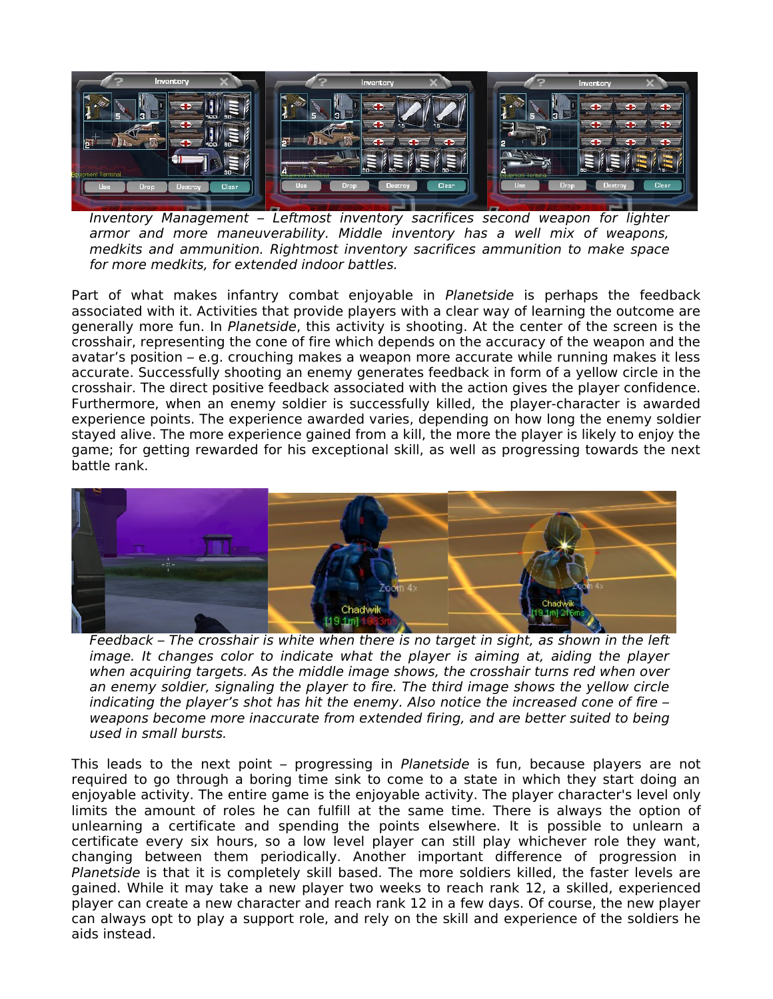

Inventory Management – Leftmost inventory sacrifices second weapon for lighter armor and more maneuverability. Middle inventory has a well mix of weapons, medkits and ammunition. Rightmost inventory sacrifices ammunition to make space for more medkits, for extended indoor battles.

Part of what makes infantry combat enjoyable in Planetside is perhaps the feedback associated with it. Activities that provide players with a clear way of learning the outcome are generally more fun. In Planetside, this activity is shooting. At the center of the screen is the crosshair, representing the cone of fire which depends on the accuracy of the weapon and the avatar's position – e.g. crouching makes a weapon more accurate while running makes it less accurate. Successfully shooting an enemy generates feedback in form of a yellow circle in the crosshair. The direct positive feedback associated with the action gives the player confidence. Furthermore, when an enemy soldier is successfully killed, the player-character is awarded experience points. The experience awarded varies, depending on how long the enemy soldier stayed alive. The more experience gained from a kill, the more the player is likely to enjoy the game; for getting rewarded for his exceptional skill, as well as progressing towards the next battle rank.



Feedback – The crosshair is white when there is no target in sight, as shown in the left image. It changes color to indicate what the player is aiming at, aiding the player when acquiring targets. As the middle image shows, the crosshair turns red when over an enemy soldier, signaling the player to fire. The third image shows the yellow circle indicating the player's shot has hit the enemy. Also notice the increased cone of fire – weapons become more inaccurate from extended firing, and are better suited to being used in small bursts.

This leads to the next point – progressing in Planetside is fun, because players are not required to go through a boring time sink to come to a state in which they start doing an enjoyable activity. The entire game is the enjoyable activity. The player character's level only limits the amount of roles he can fulfill at the same time. There is always the option of unlearning a certificate and spending the points elsewhere. It is possible to unlearn a certificate every six hours, so a low level player can still play whichever role they want, changing between them periodically. Another important difference of progression in Planetside is that it is completely skill based. The more soldiers killed, the faster levels are gained. While it may take a new player two weeks to reach rank 12, a skilled, experienced player can create a new character and reach rank 12 in a few days. Of course, the new player can always opt to play a support role, and rely on the skill and experience of the soldiers he aids instead.